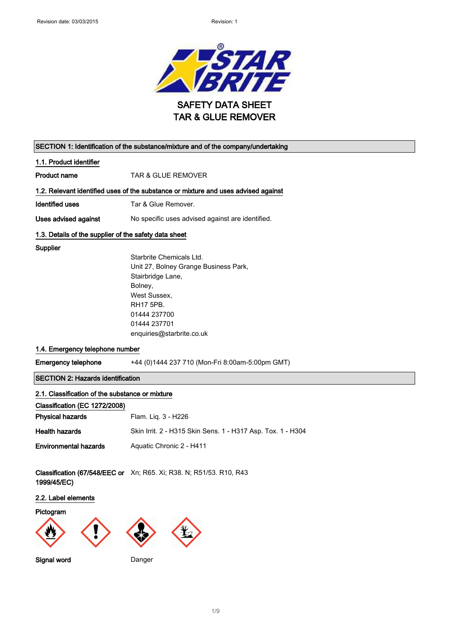

| SECTION 1: Identification of the substance/mixture and of the company/undertaking |                                                                                    |  |  |
|-----------------------------------------------------------------------------------|------------------------------------------------------------------------------------|--|--|
| 1.1. Product identifier                                                           |                                                                                    |  |  |
| Product name                                                                      | <b>TAR &amp; GLUE REMOVER</b>                                                      |  |  |
|                                                                                   | 1.2. Relevant identified uses of the substance or mixture and uses advised against |  |  |
| <b>Identified uses</b>                                                            | Tar & Glue Remover.                                                                |  |  |
| Uses advised against                                                              | No specific uses advised against are identified.                                   |  |  |
| 1.3. Details of the supplier of the safety data sheet                             |                                                                                    |  |  |
| Supplier                                                                          |                                                                                    |  |  |
|                                                                                   | Starbrite Chemicals Ltd.                                                           |  |  |
|                                                                                   | Unit 27, Bolney Grange Business Park,                                              |  |  |
|                                                                                   | Stairbridge Lane,                                                                  |  |  |
|                                                                                   | Bolney,                                                                            |  |  |
|                                                                                   | West Sussex.                                                                       |  |  |
|                                                                                   | <b>RH17 5PB.</b>                                                                   |  |  |
|                                                                                   | 01444 237700<br>01444 237701                                                       |  |  |
|                                                                                   | enquiries@starbrite.co.uk                                                          |  |  |
|                                                                                   |                                                                                    |  |  |
| 1.4. Emergency telephone number                                                   |                                                                                    |  |  |
| <b>Emergency telephone</b>                                                        | +44 (0)1444 237 710 (Mon-Fri 8:00am-5:00pm GMT)                                    |  |  |
|                                                                                   | <b>SECTION 2: Hazards identification</b>                                           |  |  |
| 2.1. Classification of the substance or mixture                                   |                                                                                    |  |  |
| Classification (EC 1272/2008)                                                     |                                                                                    |  |  |
| <b>Physical hazards</b>                                                           | Flam. Liq. 3 - H226                                                                |  |  |
| <b>Health hazards</b>                                                             | Skin Irrit. 2 - H315 Skin Sens. 1 - H317 Asp. Tox. 1 - H304                        |  |  |
| <b>Environmental hazards</b>                                                      | Aquatic Chronic 2 - H411                                                           |  |  |
|                                                                                   |                                                                                    |  |  |
| 1999/45/EC)                                                                       | Classification (67/548/EEC or Xn; R65. Xi; R38. N; R51/53. R10, R43                |  |  |
| 2.2. Label elements                                                               |                                                                                    |  |  |
| Pictogram<br>$\overline{\phantom{a}}$                                             | $\boldsymbol{\mathcal{A}}$<br>$\overline{\phantom{a}}$                             |  |  |

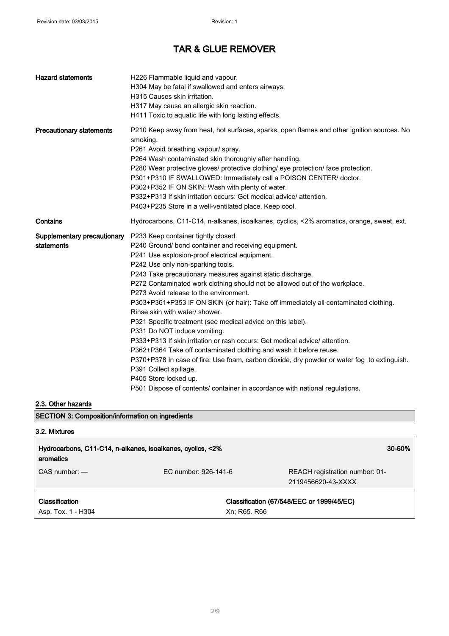| <b>Hazard statements</b>                  | H226 Flammable liquid and vapour.<br>H304 May be fatal if swallowed and enters airways.<br>H315 Causes skin irritation.<br>H317 May cause an allergic skin reaction.<br>H411 Toxic to aquatic life with long lasting effects.                                                                                                                                                                                                                                                                                                                                                                                                                                                                                                                                                                                                                                                                                                                                                             |
|-------------------------------------------|-------------------------------------------------------------------------------------------------------------------------------------------------------------------------------------------------------------------------------------------------------------------------------------------------------------------------------------------------------------------------------------------------------------------------------------------------------------------------------------------------------------------------------------------------------------------------------------------------------------------------------------------------------------------------------------------------------------------------------------------------------------------------------------------------------------------------------------------------------------------------------------------------------------------------------------------------------------------------------------------|
| <b>Precautionary statements</b>           | P210 Keep away from heat, hot surfaces, sparks, open flames and other ignition sources. No<br>smoking.<br>P261 Avoid breathing vapour/ spray.<br>P264 Wash contaminated skin thoroughly after handling.<br>P280 Wear protective gloves/ protective clothing/ eye protection/ face protection.<br>P301+P310 IF SWALLOWED: Immediately call a POISON CENTER/ doctor.<br>P302+P352 IF ON SKIN: Wash with plenty of water.<br>P332+P313 If skin irritation occurs: Get medical advice/ attention.<br>P403+P235 Store in a well-ventilated place. Keep cool.                                                                                                                                                                                                                                                                                                                                                                                                                                   |
| Contains                                  | Hydrocarbons, C11-C14, n-alkanes, isoalkanes, cyclics, <2% aromatics, orange, sweet, ext.                                                                                                                                                                                                                                                                                                                                                                                                                                                                                                                                                                                                                                                                                                                                                                                                                                                                                                 |
| Supplementary precautionary<br>statements | P233 Keep container tightly closed.<br>P240 Ground/ bond container and receiving equipment.<br>P241 Use explosion-proof electrical equipment.<br>P242 Use only non-sparking tools.<br>P243 Take precautionary measures against static discharge.<br>P272 Contaminated work clothing should not be allowed out of the workplace.<br>P273 Avoid release to the environment.<br>P303+P361+P353 IF ON SKIN (or hair): Take off immediately all contaminated clothing.<br>Rinse skin with water/ shower.<br>P321 Specific treatment (see medical advice on this label).<br>P331 Do NOT induce vomiting.<br>P333+P313 If skin irritation or rash occurs: Get medical advice/ attention.<br>P362+P364 Take off contaminated clothing and wash it before reuse.<br>P370+P378 In case of fire: Use foam, carbon dioxide, dry powder or water fog to extinguish.<br>P391 Collect spillage.<br>P405 Store locked up.<br>P501 Dispose of contents/ container in accordance with national regulations. |

#### 2.3. Other hazards

SECTION 3: Composition/information on ingredients

| 3.2. Mixtures                                                           |                      |                                                      |
|-------------------------------------------------------------------------|----------------------|------------------------------------------------------|
| Hydrocarbons, C11-C14, n-alkanes, isoalkanes, cyclics, <2%<br>aromatics |                      | 30-60%                                               |
| $CAS$ number: $-$                                                       | EC number: 926-141-6 | REACH registration number: 01-<br>2119456620-43-XXXX |
| Classification<br>Asp. Tox. 1 - H304                                    | Xn; R65. R66         | Classification (67/548/EEC or 1999/45/EC)            |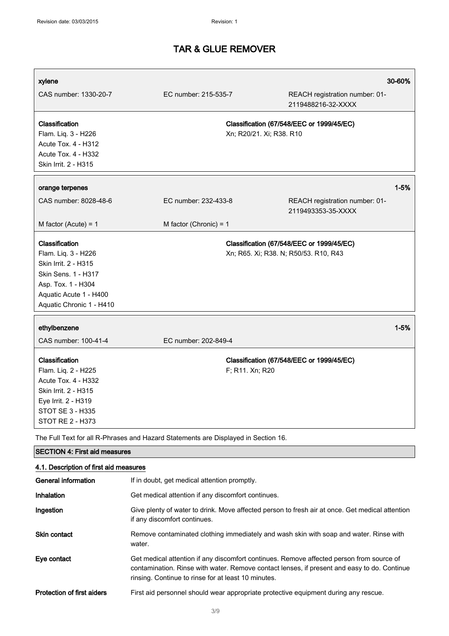| xylene                                                                                                                                                           |                                                                                    |                          |                                                                                                                                                                                         | 30-60%   |
|------------------------------------------------------------------------------------------------------------------------------------------------------------------|------------------------------------------------------------------------------------|--------------------------|-----------------------------------------------------------------------------------------------------------------------------------------------------------------------------------------|----------|
| CAS number: 1330-20-7                                                                                                                                            | EC number: 215-535-7                                                               |                          | REACH registration number: 01-<br>2119488216-32-XXXX                                                                                                                                    |          |
| <b>Classification</b><br>Flam. Liq. 3 - H226<br>Acute Tox. 4 - H312<br><b>Acute Tox. 4 - H332</b><br>Skin Irrit. 2 - H315                                        |                                                                                    | Xn; R20/21. Xi; R38. R10 | Classification (67/548/EEC or 1999/45/EC)                                                                                                                                               |          |
| orange terpenes                                                                                                                                                  |                                                                                    |                          |                                                                                                                                                                                         | $1 - 5%$ |
| CAS number: 8028-48-6                                                                                                                                            | EC number: 232-433-8                                                               |                          | REACH registration number: 01-<br>2119493353-35-XXXX                                                                                                                                    |          |
| M factor (Acute) = $1$                                                                                                                                           | M factor (Chronic) = $1$                                                           |                          |                                                                                                                                                                                         |          |
| Classification<br>Flam. Liq. 3 - H226<br>Skin Irrit. 2 - H315<br>Skin Sens. 1 - H317<br>Asp. Tox. 1 - H304<br>Aquatic Acute 1 - H400<br>Aquatic Chronic 1 - H410 |                                                                                    |                          | Classification (67/548/EEC or 1999/45/EC)<br>Xn; R65. Xi; R38. N; R50/53. R10, R43                                                                                                      |          |
| ethylbenzene                                                                                                                                                     |                                                                                    |                          |                                                                                                                                                                                         | $1 - 5%$ |
| CAS number: 100-41-4                                                                                                                                             | EC number: 202-849-4                                                               |                          |                                                                                                                                                                                         |          |
| Classification<br>Flam. Liq. 2 - H225<br>Acute Tox. 4 - H332<br>Skin Irrit. 2 - H315<br>Eye Irrit. 2 - H319<br>STOT SE 3 - H335<br><b>STOT RE 2 - H373</b>       |                                                                                    | F; R11. Xn; R20          | Classification (67/548/EEC or 1999/45/EC)                                                                                                                                               |          |
|                                                                                                                                                                  | The Full Text for all R-Phrases and Hazard Statements are Displayed in Section 16. |                          |                                                                                                                                                                                         |          |
| <b>SECTION 4: First aid measures</b>                                                                                                                             |                                                                                    |                          |                                                                                                                                                                                         |          |
| 4.1. Description of first aid measures                                                                                                                           |                                                                                    |                          |                                                                                                                                                                                         |          |
| <b>General information</b>                                                                                                                                       | If in doubt, get medical attention promptly.                                       |                          |                                                                                                                                                                                         |          |
| <b>Inhalation</b>                                                                                                                                                | Get medical attention if any discomfort continues.                                 |                          |                                                                                                                                                                                         |          |
| Ingestion                                                                                                                                                        | if any discomfort continues.                                                       |                          | Give plenty of water to drink. Move affected person to fresh air at once. Get medical attention                                                                                         |          |
| Skin contact                                                                                                                                                     | water.                                                                             |                          | Remove contaminated clothing immediately and wash skin with soap and water. Rinse with                                                                                                  |          |
| Eye contact                                                                                                                                                      | rinsing. Continue to rinse for at least 10 minutes.                                |                          | Get medical attention if any discomfort continues. Remove affected person from source of<br>contamination. Rinse with water. Remove contact lenses, if present and easy to do. Continue |          |

Protection of first aiders First aid personnel should wear appropriate protective equipment during any rescue.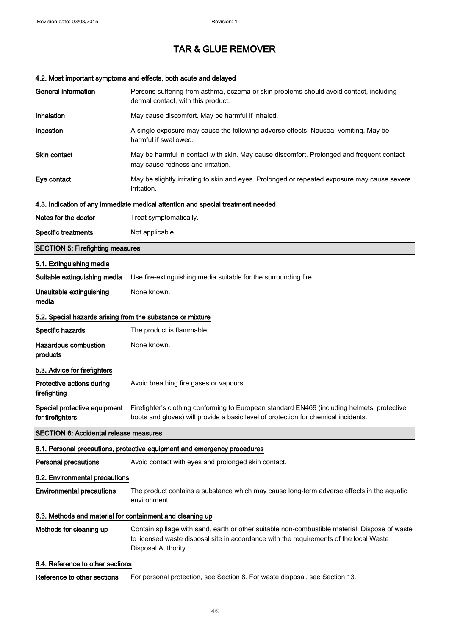### 4.2. Most important symptoms and effects, both acute and delayed

| <b>General information</b>                                               | Persons suffering from asthma, eczema or skin problems should avoid contact, including<br>dermal contact, with this product.                                                                                    |  |
|--------------------------------------------------------------------------|-----------------------------------------------------------------------------------------------------------------------------------------------------------------------------------------------------------------|--|
| Inhalation                                                               | May cause discomfort. May be harmful if inhaled.                                                                                                                                                                |  |
| Ingestion                                                                | A single exposure may cause the following adverse effects: Nausea, vomiting. May be<br>harmful if swallowed.                                                                                                    |  |
| Skin contact                                                             | May be harmful in contact with skin. May cause discomfort. Prolonged and frequent contact<br>may cause redness and irritation.                                                                                  |  |
| Eye contact                                                              | May be slightly irritating to skin and eyes. Prolonged or repeated exposure may cause severe<br><i>irritation.</i>                                                                                              |  |
|                                                                          | 4.3. Indication of any immediate medical attention and special treatment needed                                                                                                                                 |  |
| Notes for the doctor                                                     | Treat symptomatically.                                                                                                                                                                                          |  |
| <b>Specific treatments</b>                                               | Not applicable.                                                                                                                                                                                                 |  |
| <b>SECTION 5: Firefighting measures</b>                                  |                                                                                                                                                                                                                 |  |
| 5.1. Extinguishing media                                                 |                                                                                                                                                                                                                 |  |
| Suitable extinguishing media                                             | Use fire-extinguishing media suitable for the surrounding fire.                                                                                                                                                 |  |
| Unsuitable extinguishing<br>media                                        | None known.                                                                                                                                                                                                     |  |
| 5.2. Special hazards arising from the substance or mixture               |                                                                                                                                                                                                                 |  |
| Specific hazards                                                         | The product is flammable.                                                                                                                                                                                       |  |
| <b>Hazardous combustion</b><br>products                                  | None known.                                                                                                                                                                                                     |  |
| 5.3. Advice for firefighters                                             |                                                                                                                                                                                                                 |  |
| Protective actions during<br>firefighting                                | Avoid breathing fire gases or vapours.                                                                                                                                                                          |  |
| Special protective equipment<br>for firefighters                         | Firefighter's clothing conforming to European standard EN469 (including helmets, protective<br>boots and gloves) will provide a basic level of protection for chemical incidents.                               |  |
| <b>SECTION 6: Accidental release measures</b>                            |                                                                                                                                                                                                                 |  |
| 6.1. Personal precautions, protective equipment and emergency procedures |                                                                                                                                                                                                                 |  |
| <b>Personal precautions</b>                                              | Avoid contact with eyes and prolonged skin contact.                                                                                                                                                             |  |
| 6.2. Environmental precautions                                           |                                                                                                                                                                                                                 |  |
| <b>Environmental precautions</b>                                         | The product contains a substance which may cause long-term adverse effects in the aquatic<br>environment.                                                                                                       |  |
| 6.3. Methods and material for containment and cleaning up                |                                                                                                                                                                                                                 |  |
| Methods for cleaning up                                                  | Contain spillage with sand, earth or other suitable non-combustible material. Dispose of waste<br>to licensed waste disposal site in accordance with the requirements of the local Waste<br>Disposal Authority. |  |
| 6.4. Reference to other sections                                         |                                                                                                                                                                                                                 |  |
| Reference to other sections                                              | For personal protection, see Section 8. For waste disposal, see Section 13.                                                                                                                                     |  |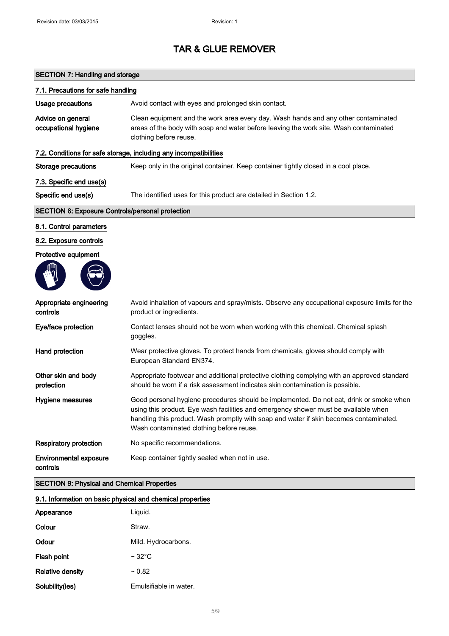### SECTION 7: Handling and storage

| 7.1. Precautions for safe handling                      |                                                                                                                                                                                                                                                                                                                      |
|---------------------------------------------------------|----------------------------------------------------------------------------------------------------------------------------------------------------------------------------------------------------------------------------------------------------------------------------------------------------------------------|
| Usage precautions                                       | Avoid contact with eyes and prolonged skin contact.                                                                                                                                                                                                                                                                  |
| Advice on general<br>occupational hygiene               | Clean equipment and the work area every day. Wash hands and any other contaminated<br>areas of the body with soap and water before leaving the work site. Wash contaminated<br>clothing before reuse.                                                                                                                |
|                                                         | 7.2. Conditions for safe storage, including any incompatibilities                                                                                                                                                                                                                                                    |
| <b>Storage precautions</b>                              | Keep only in the original container. Keep container tightly closed in a cool place.                                                                                                                                                                                                                                  |
| 7.3. Specific end use(s)                                |                                                                                                                                                                                                                                                                                                                      |
| Specific end use(s)                                     | The identified uses for this product are detailed in Section 1.2.                                                                                                                                                                                                                                                    |
| <b>SECTION 8: Exposure Controls/personal protection</b> |                                                                                                                                                                                                                                                                                                                      |
| 8.1. Control parameters                                 |                                                                                                                                                                                                                                                                                                                      |
| 8.2. Exposure controls                                  |                                                                                                                                                                                                                                                                                                                      |
| Protective equipment                                    |                                                                                                                                                                                                                                                                                                                      |
|                                                         |                                                                                                                                                                                                                                                                                                                      |
| Appropriate engineering<br>controls                     | Avoid inhalation of vapours and spray/mists. Observe any occupational exposure limits for the<br>product or ingredients.                                                                                                                                                                                             |
| Eye/face protection                                     | Contact lenses should not be worn when working with this chemical. Chemical splash<br>goggles.                                                                                                                                                                                                                       |
| Hand protection                                         | Wear protective gloves. To protect hands from chemicals, gloves should comply with<br>European Standard EN374.                                                                                                                                                                                                       |
| Other skin and body<br>protection                       | Appropriate footwear and additional protective clothing complying with an approved standard<br>should be worn if a risk assessment indicates skin contamination is possible.                                                                                                                                         |
| Hygiene measures                                        | Good personal hygiene procedures should be implemented. Do not eat, drink or smoke when<br>using this product. Eye wash facilities and emergency shower must be available when<br>handling this product. Wash promptly with soap and water if skin becomes contaminated.<br>Wash contaminated clothing before reuse. |
| <b>Respiratory protection</b>                           | No specific recommendations.                                                                                                                                                                                                                                                                                         |
| <b>Environmental exposure</b><br>controls               | Keep container tightly sealed when not in use.                                                                                                                                                                                                                                                                       |

#### SECTION 9: Physical and Chemical Properties

#### 9.1. Information on basic physical and chemical properties

| Appearance              | Liguid.                |
|-------------------------|------------------------|
| Colour                  | Straw.                 |
| Odour                   | Mild. Hydrocarbons.    |
| Flash point             | $\sim$ 32 $\degree$ C  |
| <b>Relative density</b> | ~10.82                 |
| Solubility(ies)         | Emulsifiable in water. |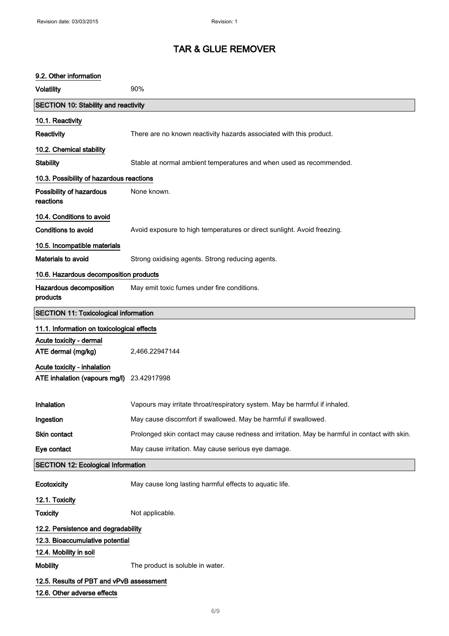#### 9.2. Other information

| <b>Volatility</b>                                                       | 90%                                                                                           |  |
|-------------------------------------------------------------------------|-----------------------------------------------------------------------------------------------|--|
| <b>SECTION 10: Stability and reactivity</b>                             |                                                                                               |  |
| 10.1. Reactivity                                                        |                                                                                               |  |
| <b>Reactivity</b>                                                       | There are no known reactivity hazards associated with this product.                           |  |
| 10.2. Chemical stability                                                |                                                                                               |  |
| <b>Stability</b>                                                        | Stable at normal ambient temperatures and when used as recommended.                           |  |
| 10.3. Possibility of hazardous reactions                                |                                                                                               |  |
| Possibility of hazardous<br>reactions                                   | None known.                                                                                   |  |
| 10.4. Conditions to avoid                                               |                                                                                               |  |
| Conditions to avoid                                                     | Avoid exposure to high temperatures or direct sunlight. Avoid freezing.                       |  |
| 10.5. Incompatible materials                                            |                                                                                               |  |
| Materials to avoid                                                      | Strong oxidising agents. Strong reducing agents.                                              |  |
| 10.6. Hazardous decomposition products                                  |                                                                                               |  |
| Hazardous decomposition<br>products                                     | May emit toxic fumes under fire conditions.                                                   |  |
| <b>SECTION 11: Toxicological information</b>                            |                                                                                               |  |
| 11.1. Information on toxicological effects                              |                                                                                               |  |
| Acute toxicity - dermal                                                 |                                                                                               |  |
| ATE dermal (mg/kg)                                                      | 2,466.22947144                                                                                |  |
| Acute toxicity - inhalation<br>ATE inhalation (vapours mg/l)            | 23.42917998                                                                                   |  |
| Inhalation                                                              | Vapours may irritate throat/respiratory system. May be harmful if inhaled.                    |  |
| Ingestion                                                               | May cause discomfort if swallowed. May be harmful if swallowed.                               |  |
| Skin contact                                                            | Prolonged skin contact may cause redness and irritation. May be harmful in contact with skin. |  |
| Eye contact                                                             | May cause irritation. May cause serious eye damage.                                           |  |
| <b>SECTION 12: Ecological Information</b>                               |                                                                                               |  |
| Ecotoxicity                                                             | May cause long lasting harmful effects to aquatic life.                                       |  |
| 12.1. Toxicity                                                          |                                                                                               |  |
| <b>Toxicity</b>                                                         | Not applicable.                                                                               |  |
| 12.2. Persistence and degradability                                     |                                                                                               |  |
| 12.3. Bioaccumulative potential                                         |                                                                                               |  |
| 12.4. Mobility in soil<br><b>Mobility</b>                               | The product is soluble in water.                                                              |  |
|                                                                         |                                                                                               |  |
| 12.5. Results of PBT and vPvB assessment<br>12.6. Other adverse effects |                                                                                               |  |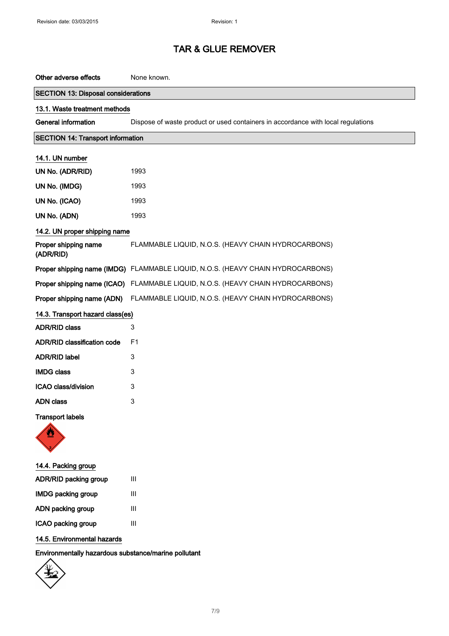| Other adverse effects                                | None known.                                                                      |  |
|------------------------------------------------------|----------------------------------------------------------------------------------|--|
| <b>SECTION 13: Disposal considerations</b>           |                                                                                  |  |
| 13.1. Waste treatment methods                        |                                                                                  |  |
| <b>General information</b>                           | Dispose of waste product or used containers in accordance with local regulations |  |
| <b>SECTION 14: Transport information</b>             |                                                                                  |  |
| 14.1. UN number                                      |                                                                                  |  |
| UN No. (ADR/RID)                                     | 1993                                                                             |  |
| UN No. (IMDG)                                        | 1993                                                                             |  |
| UN No. (ICAO)                                        | 1993                                                                             |  |
| UN No. (ADN)                                         | 1993                                                                             |  |
| 14.2. UN proper shipping name                        |                                                                                  |  |
| Proper shipping name<br>(ADR/RID)                    | FLAMMABLE LIQUID, N.O.S. (HEAVY CHAIN HYDROCARBONS)                              |  |
|                                                      | Proper shipping name (IMDG) FLAMMABLE LIQUID, N.O.S. (HEAVY CHAIN HYDROCARBONS)  |  |
|                                                      | Proper shipping name (ICAO) FLAMMABLE LIQUID, N.O.S. (HEAVY CHAIN HYDROCARBONS)  |  |
|                                                      | Proper shipping name (ADN) FLAMMABLE LIQUID, N.O.S. (HEAVY CHAIN HYDROCARBONS)   |  |
| 14.3. Transport hazard class(es)                     |                                                                                  |  |
| <b>ADR/RID class</b>                                 | 3                                                                                |  |
| ADR/RID classification code                          | F <sub>1</sub>                                                                   |  |
| <b>ADR/RID label</b>                                 | 3                                                                                |  |
| <b>IMDG class</b>                                    | 3                                                                                |  |
| ICAO class/division                                  | 3                                                                                |  |
| <b>ADN</b> class                                     | 3                                                                                |  |
| <b>Transport labels</b>                              |                                                                                  |  |
| 14.4. Packing group                                  |                                                                                  |  |
| ADR/RID packing group                                | Ш                                                                                |  |
| <b>IMDG packing group</b>                            | Ш                                                                                |  |
| ADN packing group                                    | III                                                                              |  |
| ICAO packing group                                   | $\mathbf{III}$                                                                   |  |
| 14.5. Environmental hazards                          |                                                                                  |  |
| Environmentally hazardous substance/marine pollutant |                                                                                  |  |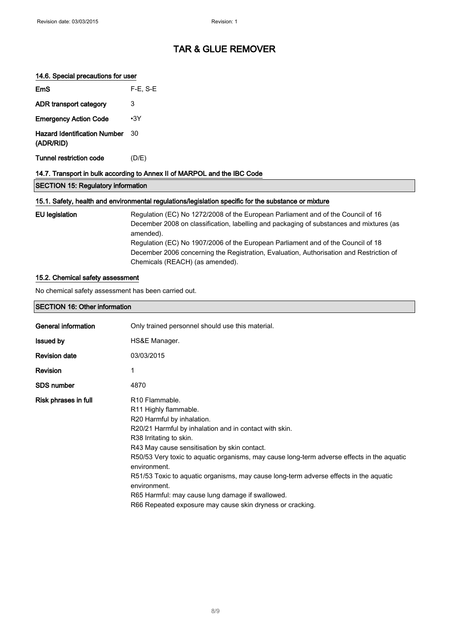#### 14.6. Special precautions for user

| <b>SECTION 15: Regulatory information</b>                                |            |  |
|--------------------------------------------------------------------------|------------|--|
| 14.7. Transport in bulk according to Annex II of MARPOL and the IBC Code |            |  |
| Tunnel restriction code                                                  | (D/E)      |  |
| <b>Hazard Identification Number</b><br>(ADR/RID)                         | 30         |  |
| <b>Emergency Action Code</b>                                             | $\cdot$ 3Y |  |
| ADR transport category                                                   | 3          |  |
| EmS                                                                      | $F-E. S-E$ |  |

### 15.1. Safety, health and environmental regulations/legislation specific for the substance or mixture

| EU legislation | Regulation (EC) No 1272/2008 of the European Parliament and of the Council of 16<br>December 2008 on classification, labelling and packaging of substances and mixtures (as<br>amended). |
|----------------|------------------------------------------------------------------------------------------------------------------------------------------------------------------------------------------|
|                | Regulation (EC) No 1907/2006 of the European Parliament and of the Council of 18<br>December 2006 concerning the Registration, Evaluation, Authorisation and Restriction of              |
|                | Chemicals (REACH) (as amended).                                                                                                                                                          |

#### 15.2. Chemical safety assessment

No chemical safety assessment has been carried out.

#### SECTION 16: Other information

| General information  | Only trained personnel should use this material.                                                                                                                                                                                                                                                                                                                                                                                                                                                                                                                           |
|----------------------|----------------------------------------------------------------------------------------------------------------------------------------------------------------------------------------------------------------------------------------------------------------------------------------------------------------------------------------------------------------------------------------------------------------------------------------------------------------------------------------------------------------------------------------------------------------------------|
| <b>Issued by</b>     | HS&E Manager.                                                                                                                                                                                                                                                                                                                                                                                                                                                                                                                                                              |
| <b>Revision date</b> | 03/03/2015                                                                                                                                                                                                                                                                                                                                                                                                                                                                                                                                                                 |
| Revision             | 1                                                                                                                                                                                                                                                                                                                                                                                                                                                                                                                                                                          |
| <b>SDS number</b>    | 4870                                                                                                                                                                                                                                                                                                                                                                                                                                                                                                                                                                       |
| Risk phrases in full | R <sub>10</sub> Flammable.<br>R <sub>11</sub> Highly flammable.<br>R20 Harmful by inhalation.<br>R20/21 Harmful by inhalation and in contact with skin.<br>R38 Irritating to skin.<br>R43 May cause sensitisation by skin contact.<br>R50/53 Very toxic to aguatic organisms, may cause long-term adverse effects in the aguatic<br>environment.<br>R51/53 Toxic to aguatic organisms, may cause long-term adverse effects in the aguatic<br>environment.<br>R65 Harmful: may cause lung damage if swallowed.<br>R66 Repeated exposure may cause skin dryness or cracking. |